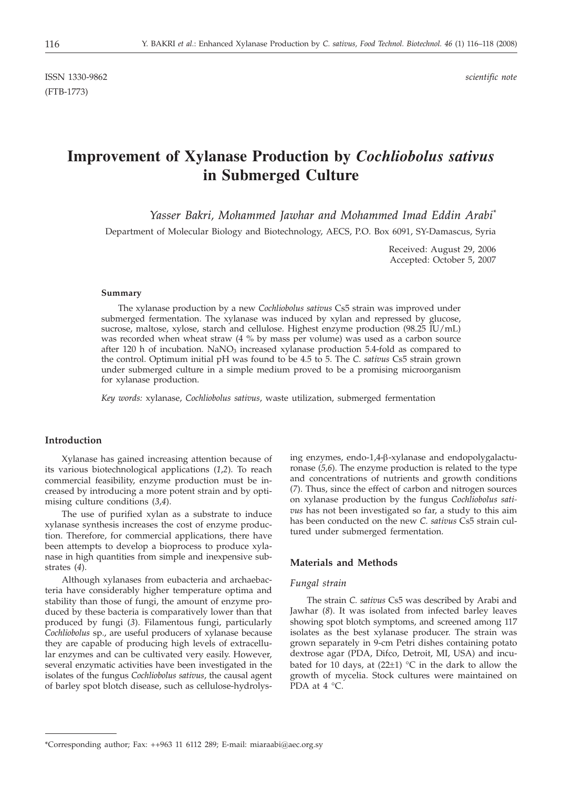ISSN 1330-9862 *scientific note* (FTB-1773)

# **Improvement of Xylanase Production by** *Cochliobolus sativus* **in Submerged Culture**

*Yasser Bakri, Mohammed Jawhar and Mohammed Imad Eddin Arabi\**

Department of Molecular Biology and Biotechnology, AECS, P.O. Box 6091, SY-Damascus, Syria

Received: August 29, 2006 Accepted: October 5, 2007

#### **Summary**

The xylanase production by a new *Cochliobolus sativus* Cs5 strain was improved under submerged fermentation. The xylanase was induced by xylan and repressed by glucose, sucrose, maltose, xylose, starch and cellulose. Highest enzyme production (98.25 IU/mL) was recorded when wheat straw (4 % by mass per volume) was used as a carbon source after 120 h of incubation.  $NaNO<sub>3</sub>$  increased xylanase production 5.4-fold as compared to the control. Optimum initial pH was found to be 4.5 to 5. The *C. sativus* Cs5 strain grown under submerged culture in a simple medium proved to be a promising microorganism for xylanase production.

*Key words:* xylanase, *Cochliobolus sativus*, waste utilization, submerged fermentation

## **Introduction**

Xylanase has gained increasing attention because of its various biotechnological applications (*1*,*2*). To reach commercial feasibility, enzyme production must be increased by introducing a more potent strain and by optimising culture conditions (*3*,*4*).

The use of purified xylan as a substrate to induce xylanase synthesis increases the cost of enzyme production. Therefore, for commercial applications, there have been attempts to develop a bioprocess to produce xylanase in high quantities from simple and inexpensive substrates (*4*).

Although xylanases from eubacteria and archaebacteria have considerably higher temperature optima and stability than those of fungi, the amount of enzyme produced by these bacteria is comparatively lower than that produced by fungi (*3*). Filamentous fungi, particularly *Cochliobolus* sp., are useful producers of xylanase because they are capable of producing high levels of extracellular enzymes and can be cultivated very easily. However, several enzymatic activities have been investigated in the isolates of the fungus *Cochliobolus sativus*, the causal agent of barley spot blotch disease, such as cellulose-hydrolys-

ing enzymes, endo-1,4-b-xylanase and endopolygalacturonase (*5,6*). The enzyme production is related to the type and concentrations of nutrients and growth conditions (*7*). Thus, since the effect of carbon and nitrogen sources on xylanase production by the fungus *Cochliobolus sativus* has not been investigated so far, a study to this aim has been conducted on the new *C. sativus* Cs5 strain cultured under submerged fermentation.

## **Materials and Methods**

#### *Fungal strain*

The strain *C. sativus* Cs5 was described by Arabi and Jawhar (*8*). It was isolated from infected barley leaves showing spot blotch symptoms, and screened among 117 isolates as the best xylanase producer. The strain was grown separately in 9-cm Petri dishes containing potato dextrose agar (PDA, Difco, Detroit, MI, USA) and incubated for 10 days, at  $(22\pm 1)$  °C in the dark to allow the growth of mycelia. Stock cultures were maintained on  $\text{PDA}$  at 4 °C.

<sup>\*</sup>Corresponding author; Fax: ++963 11 6112 289; E-mail: miaraabi*@*aec.org.sy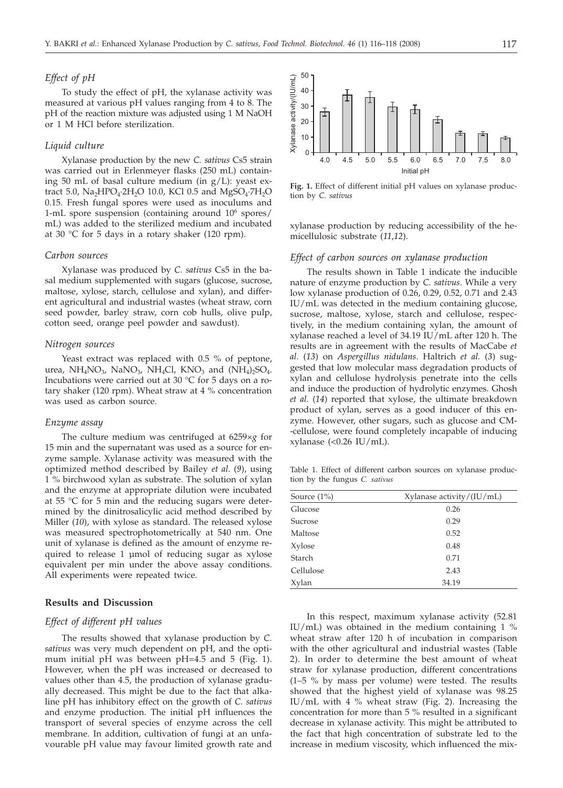# *Effect of pH*

To study the effect of pH, the xylanase activity was measured at various pH values ranging from 4 to 8. The pH of the reaction mixture was adjusted using 1 M NaOH or 1 M HCl before sterilization.

### *Liquid culture*

Xylanase production by the new *C. sativus* Cs5 strain was carried out in Erlenmeyer flasks (250 mL) containing 50 mL of basal culture medium (in g/L): yeast extract 5.0, Na<sub>2</sub>HPO<sub>4</sub>·2H<sub>2</sub>O 10.0, KCl 0.5 and MgSO<sub>4</sub>·7H<sub>2</sub>O 0.15. Fresh fungal spores were used as inoculums and 1-mL spore suspension (containing around 106 spores/ mL) was added to the sterilized medium and incubated at 30 °C for 5 days in a rotary shaker (120 rpm).

## *Carbon sources*

Xylanase was produced by *C. sativus* Cs5 in the basal medium supplemented with sugars (glucose, sucrose, maltose, xylose, starch, cellulose and xylan), and different agricultural and industrial wastes (wheat straw, corn seed powder, barley straw, corn cob hulls, olive pulp, cotton seed, orange peel powder and sawdust).

## *Nitrogen sources*

Yeast extract was replaced with 0.5 % of peptone, urea,  $NH_4NO_3$ , NaNO<sub>3</sub>, NH<sub>4</sub>Cl, KNO<sub>3</sub> and  $(NH_4)$ <sub>2</sub>SO<sub>4</sub>. Incubations were carried out at 30 °C for 5 days on a rotary shaker (120 rpm). Wheat straw at 4 % concentration was used as carbon source.

#### *Enzyme assay*

The culture medium was centrifuged at 6259×*g* for 15 min and the supernatant was used as a source for enzyme sample. Xylanase activity was measured with the optimized method described by Bailey *et al.* (*9*), using 1 % birchwood xylan as substrate. The solution of xylan and the enzyme at appropriate dilution were incubated at 55 °C for 5 min and the reducing sugars were determined by the dinitrosalicylic acid method described by Miller (*10*), with xylose as standard. The released xylose was measured spectrophotometrically at 540 nm. One unit of xylanase is defined as the amount of enzyme required to release 1 µmol of reducing sugar as xylose equivalent per min under the above assay conditions. All experiments were repeated twice.

## **Results and Discussion**

#### *Effect of different pH values*

The results showed that xylanase production by *C. sativus* was very much dependent on pH, and the optimum initial pH was between pH=4.5 and 5 (Fig. 1). However, when the pH was increased or decreased to values other than 4.5, the production of xylanase gradually decreased. This might be due to the fact that alkaline pH has inhibitory effect on the growth of *C. sativus* and enzyme production. The initial pH influences the transport of several species of enzyme across the cell membrane. In addition, cultivation of fungi at an unfavourable pH value may favour limited growth rate and



**Fig. 1.** Effect of different initial pH values on xylanase production by *C. sativus*

xylanase production by reducing accessibility of the hemicellulosic substrate (*11*,*12*).

## *Effect of carbon sources on xylanase production*

The results shown in Table 1 indicate the inducible nature of enzyme production by *C. sativus*. While a very low xylanase production of 0.26, 0.29, 0.52, 0.71 and 2.43 IU/mL was detected in the medium containing glucose, sucrose, maltose, xylose, starch and cellulose, respectively, in the medium containing xylan, the amount of xylanase reached a level of 34.19 IU/mL after 120 h. The results are in agreement with the results of MacCabe *et al.* (*13*) on *Aspergillus nidulans*. Haltrich *et al.* (*3*) suggested that low molecular mass degradation products of xylan and cellulose hydrolysis penetrate into the cells and induce the production of hydrolytic enzymes. Ghosh *et al.* (*14*) reported that xylose, the ultimate breakdown product of xylan, serves as a good inducer of this enzyme. However, other sugars, such as glucose and CM- -cellulose, were found completely incapable of inducing xylanase  $\left($  < 0.26 IU/mL).

Table 1. Effect of different carbon sources on xylanase production by the fungus *C. sativus*

| Source $(1\%)$ | Xylanase activity/(IU/mL) |
|----------------|---------------------------|
| Glucose        | 0.26                      |
| Sucrose        | 0.29                      |
| Maltose        | 0.52                      |
| Xylose         | 0.48                      |
| Starch         | 0.71                      |
| Cellulose      | 2.43                      |
| Xylan          | 34.19                     |

In this respect, maximum xylanase activity (52.81 IU/mL) was obtained in the medium containing  $1\%$ wheat straw after 120 h of incubation in comparison with the other agricultural and industrial wastes (Table 2). In order to determine the best amount of wheat straw for xylanase production, different concentrations (1–5 % by mass per volume) were tested. The results showed that the highest yield of xylanase was 98.25 IU/mL with 4 % wheat straw (Fig. 2). Increasing the concentration for more than  $5%$  resulted in a significant decrease in xylanase activity. This might be attributed to the fact that high concentration of substrate led to the increase in medium viscosity, which influenced the mix-